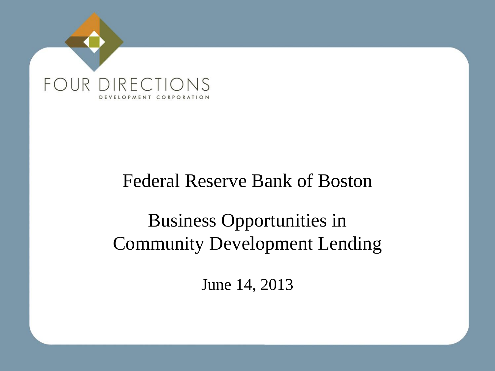

## Federal Reserve Bank of Boston

# Business Opportunities in Community Development Lending

June 14, 2013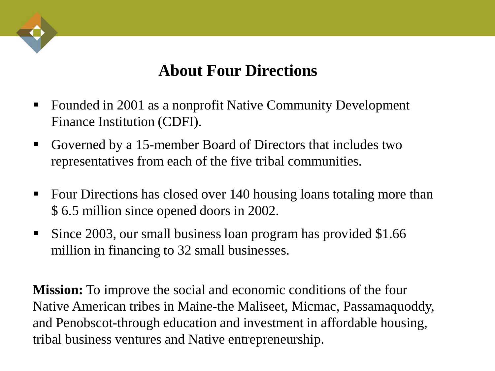### **About Four Directions**

- Founded in 2001 as a nonprofit Native Community Development Finance Institution (CDFI).
- Governed by a 15-member Board of Directors that includes two representatives from each of the five tribal communities.
- Four Directions has closed over 140 housing loans totaling more than \$ 6.5 million since opened doors in 2002.
- Since 2003, our small business loan program has provided \$1.66 million in financing to 32 small businesses.

**Mission:** To improve the social and economic conditions of the four Native American tribes in Maine-the Maliseet, Micmac, Passamaquoddy, and Penobscot-through education and investment in affordable housing, tribal business ventures and Native entrepreneurship.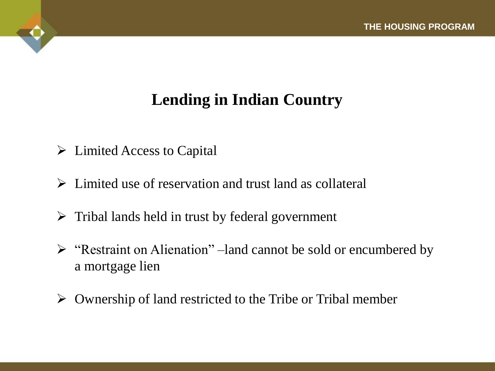## **Lending in Indian Country**

- $\triangleright$  Limited Access to Capital
- $\triangleright$  Limited use of reservation and trust land as collateral
- $\triangleright$  Tribal lands held in trust by federal government
- $\triangleright$  "Restraint on Alienation" –land cannot be sold or encumbered by a mortgage lien
- $\triangleright$  Ownership of land restricted to the Tribe or Tribal member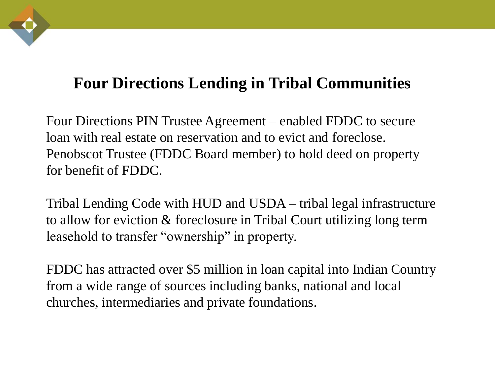## **Four Directions Lending in Tribal Communities**

Four Directions PIN Trustee Agreement – enabled FDDC to secure loan with real estate on reservation and to evict and foreclose. Penobscot Trustee (FDDC Board member) to hold deed on property for benefit of FDDC.

Tribal Lending Code with HUD and USDA – tribal legal infrastructure to allow for eviction & foreclosure in Tribal Court utilizing long term leasehold to transfer "ownership" in property.

FDDC has attracted over \$5 million in loan capital into Indian Country from a wide range of sources including banks, national and local churches, intermediaries and private foundations.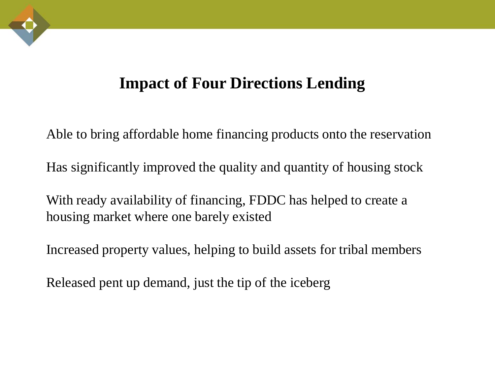#### **Impact of Four Directions Lending**

Able to bring affordable home financing products onto the reservation

Has significantly improved the quality and quantity of housing stock

With ready availability of financing, FDDC has helped to create a housing market where one barely existed

Increased property values, helping to build assets for tribal members

Released pent up demand, just the tip of the iceberg